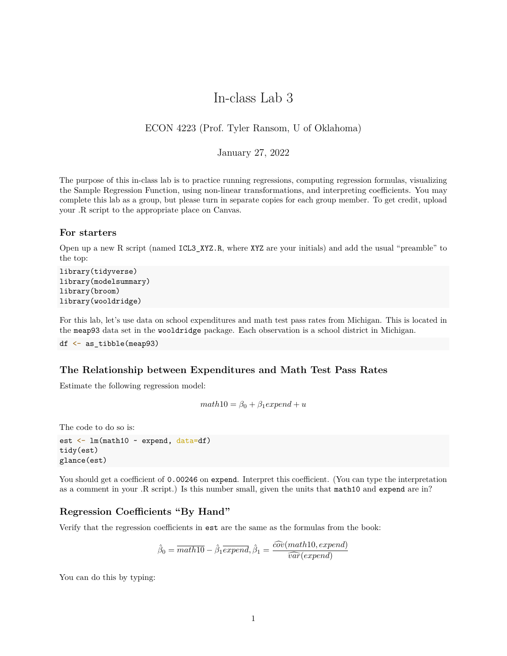# In-class Lab 3

## ECON 4223 (Prof. Tyler Ransom, U of Oklahoma)

### January 27, 2022

The purpose of this in-class lab is to practice running regressions, computing regression formulas, visualizing the Sample Regression Function, using non-linear transformations, and interpreting coefficients. You may complete this lab as a group, but please turn in separate copies for each group member. To get credit, upload your .R script to the appropriate place on Canvas.

### **For starters**

Open up a new R script (named ICL3\_XYZ.R, where XYZ are your initials) and add the usual "preamble" to the top:

```
library(tidyverse)
library(modelsummary)
library(broom)
library(wooldridge)
```
For this lab, let's use data on school expenditures and math test pass rates from Michigan. This is located in the meap93 data set in the wooldridge package. Each observation is a school district in Michigan.

df  $\leq$  as tibble(meap93)

#### **The Relationship between Expenditures and Math Test Pass Rates**

Estimate the following regression model:

```
math10 = \beta_0 + \beta_1expend + u
```
The code to do so is:

```
est <- lm(math10 ~ expend, data=df)
tidy(est)
glance(est)
```
You should get a coefficient of 0.00246 on expend. Interpret this coefficient. (You can type the interpretation as a comment in your .R script.) Is this number small, given the units that math10 and expend are in?

#### **Regression Coefficients "By Hand"**

Verify that the regression coefficients in est are the same as the formulas from the book:

$$
\hat{\beta}_0 = \overline{math10} - \hat{\beta}_1 \overline{expend}, \hat{\beta}_1 = \frac{\widehat{cov}(math10,expend)}{\widehat{var}(expend)}
$$

You can do this by typing: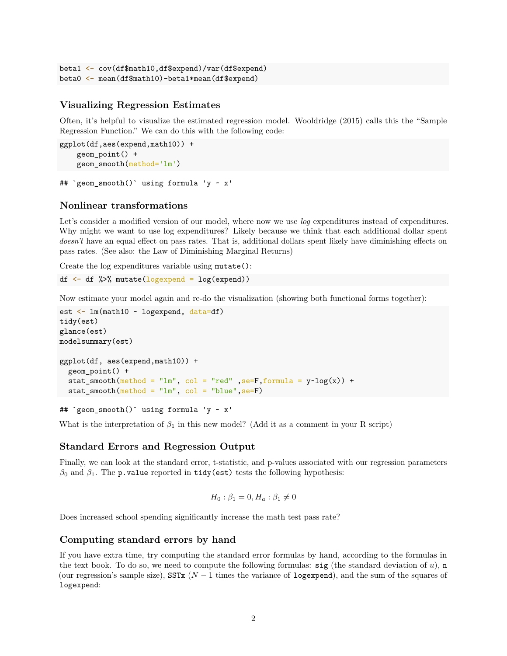```
beta1 <- cov(df$math10,df$expend)/var(df$expend)
beta0 <- mean(df$math10)-beta1*mean(df$expend)
```
### **Visualizing Regression Estimates**

Often, it's helpful to visualize the estimated regression model. Wooldridge (2015) calls this the "Sample Regression Function." We can do this with the following code:

```
ggplot(df,aes(expend,math10)) +
   geom_point() +
   geom_smooth(method='lm')
```
## `geom\_smooth()` using formula 'y ~ x'

### **Nonlinear transformations**

Let's consider a modified version of our model, where now we use *log* expenditures instead of expenditures. Why might we want to use log expenditures? Likely because we think that each additional dollar spent *doesn't* have an equal effect on pass rates. That is, additional dollars spent likely have diminishing effects on pass rates. (See also: the Law of Diminishing Marginal Returns)

Create the log expenditures variable using mutate():

```
df <- df %>% mutate(logexpend = log(expend))
```
Now estimate your model again and re-do the visualization (showing both functional forms together):

```
est \leftarrow lm(math10 \sim logexpend, data=df)
tidy(est)
glance(est)
modelsummary(est)
ggplot(df, aes(expend,math10)) +
  geom_point() +
  stat_smooth(method = "lm", col = "red" , se=F, formula = y~log(x)) +
  stat\_smooth(method = "lm", col = "blue", seeF)
```
## `geom\_smooth()` using formula 'y ~ x'

What is the interpretation of  $\beta_1$  in this new model? (Add it as a comment in your R script)

### **Standard Errors and Regression Output**

Finally, we can look at the standard error, t-statistic, and p-values associated with our regression parameters  $β$ <sup>0</sup> and  $β$ <sup>1</sup>. The p.value reported in tidy(est) tests the following hypothesis:

$$
H_0: \beta_1 = 0, H_a: \beta_1 \neq 0
$$

Does increased school spending significantly increase the math test pass rate?

#### **Computing standard errors by hand**

If you have extra time, try computing the standard error formulas by hand, according to the formulas in the text book. To do so, we need to compute the following formulas:  $sig$  (the standard deviation of  $u$ ), n (our regression's sample size), SSTx (*N* − 1 times the variance of logexpend), and the sum of the squares of logexpend: